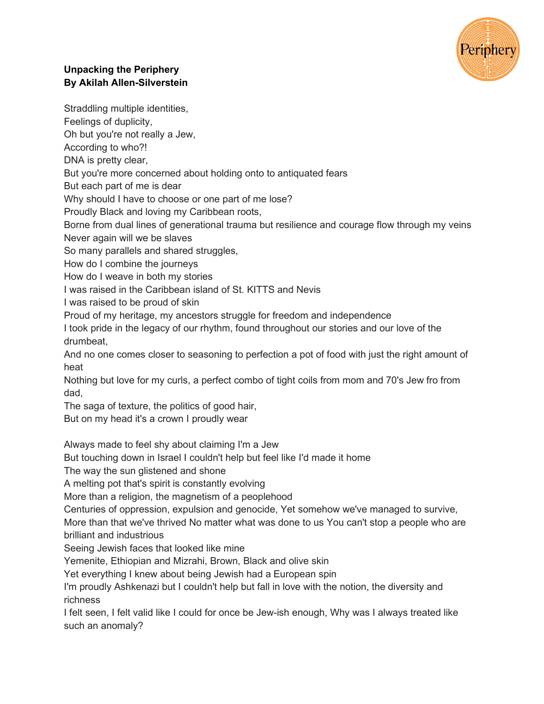

## **Unpacking the Periphery By Akilah Allen-Silverstein**

Straddling multiple identities,

Feelings of duplicity,

Oh but you're not really a Jew,

According to who?!

DNA is pretty clear,

But you're more concerned about holding onto to antiquated fears

But each part of me is dear

Why should I have to choose or one part of me lose?

Proudly Black and loving my Caribbean roots,

Borne from dual lines of generational trauma but resilience and courage flow through my veins Never again will we be slaves

So many parallels and shared struggles,

How do I combine the journeys

How do I weave in both my stories

I was raised in the Caribbean island of St. KITTS and Nevis

I was raised to be proud of skin

Proud of my heritage, my ancestors struggle for freedom and independence

I took pride in the legacy of our rhythm, found throughout our stories and our love of the drumbeat,

And no one comes closer to seasoning to perfection a pot of food with just the right amount of heat

Nothing but love for my curls, a perfect combo of tight coils from mom and 70's Jew fro from dad,

The saga of texture, the politics of good hair,

But on my head it's a crown I proudly wear

Always made to feel shy about claiming I'm a Jew

But touching down in Israel I couldn't help but feel like I'd made it home

The way the sun glistened and shone

A melting pot that's spirit is constantly evolving

More than a religion, the magnetism of a peoplehood

Centuries of oppression, expulsion and genocide, Yet somehow we've managed to survive,

More than that we've thrived No matter what was done to us You can't stop a people who are brilliant and industrious

Seeing Jewish faces that looked like mine

Yemenite, Ethiopian and Mizrahi, Brown, Black and olive skin

Yet everything I knew about being Jewish had a European spin

I'm proudly Ashkenazi but I couldn't help but fall in love with the notion, the diversity and richness

I felt seen, I felt valid like I could for once be Jew-ish enough, Why was I always treated like such an anomaly?